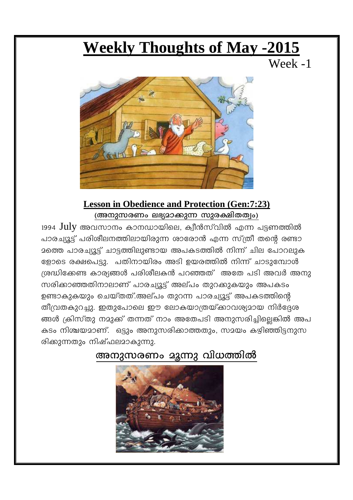# **Weekly Thoughts of May -2015**

Week -1



#### **Lesson in Obedience and Protection (Gen:7:23)** (അനുസരണം ലഭ്യമാക്കുന്ന സുരക്ഷിതത്വം)

 $1994$  July അവസാനം കാനഡായിലെ, ക്വീൻസ്വിൽ എന്ന പട്ടണത്തിൽ പാരച്യൂട്ട് പരിശീലനത്തിലായിരുന്ന ശാരോൻ എന്ന സ്ത്രീ തന്റെ രണ്ടാ <u> മത്തെ പാരച്യൂട്ട് ചാട്ടത്തിലുണ്ടായ അപകടത്തിൽ നിന്ന് ചില പോറലുക</u> ളോടെ രക്ഷപെട്ടു. പതിനായിരം അടി ഉയരത്തിൽ നിന്ന് ചാടുമ്പോൾ ശ്രദ്ധിക്കേണ്ട കാര്യങ്ങൾ പരിശീലകൻ പറഞ്ഞത് അതേ പടി അവർ അനു സരിക്കാഞ്ഞതിനാലാണ് പാരച്യൂട്ട് അല്പം തുറക്കുകയും അപകടം ഉണ്ടാകുകയും ചെയ്തത്.അല്പം തുറന്ന പാരച്യൂട്ട് അപകടത്തിന്റെ തീവ്രതകുറച്ചു. ഇതുപോലെ ഈ ലോകയാത്രയ്ക്കാവര്യമായ നിർദ്ദേശ ങ്ങൾ ക്രിസ്തു നമുക്ക് തന്നത് നാം അതേപടി അനുസരിച്ചില്ലെങ്കിൽ അപ കടം നിശ്ചയമാണ്. ഒട്ടും അനുസരിക്കാത്തതും, സമയം കഴിഞ്ഞിട്ടനുസ രിക്കുന്നതും നിഷ്ഫലമാകുന്നു.

## അനുസരണം മൂന്നു വിധത്തിൽ

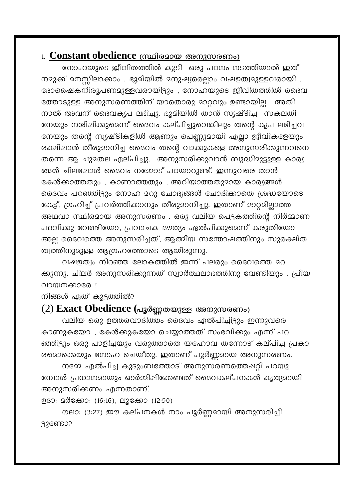#### 1. Constant obedience (സ്ഥിരമായ അനുസരണം)

നോഹയുടെ ജീവിതത്തിൽ കൂടി ഒരു പഠനം നടത്തിയാൽ ഇത് നമുക്ക് മനസ്സിലാക്കാം . ഭൂമിയിൽ മനുഷ്യരെല്ലാം വഷളത്വമുള്ളവരായി , ദോഷൈകനിരൂപണമുള്ളവരായിട്ടും , നോഹയുടെ ജീവിതത്തിൽ ദൈവ ത്തോടുള്ള അനുസരണത്തിന് യാതൊരു മാറ്റവും ഉണ്ടായില്ല. അതി നാൽ അവന് ദൈവകൃപ ലഭിച്ചു. ഭൂമിയിൽ താൻ സൃഷ്ടിച്ച സകലതി നേയും നശിഷിക്കുമെന്ന് ദൈവം കല്പിച്ചുവെങ്കിലും തന്റെ കൃപ ലഭിച്ചവ നേയും തന്റെ സൃഷ്ടികളിൽ ആണും പെണ്ണുമായി എല്ലാ ജീവികളേയും രക്ഷിഷാൻ തീരുമാനിച്ച ദൈവം തന്റെ വാക്കുകളെ അനുസരിക്കുന്നവനെ തന്നെ ആ ചുമതല ഏല്പിച്ചു. അനുസരിക്കുവാൻ ബുദ്ധിമുട്ടുള്ള കാര്യ ങ്ങൾ ചിലപ്പോൾ ദൈവം നമ്മോട് പറയാറുണ്ട്. ഇന്നുവരെ താൻ കേൾക്കാത്തതും, കാണാത്തതും, അറിയാത്തതുമായ കാര്യങ്ങൾ ദൈവം പറഞ്ഞിട്ടും നോഹ മറു ചോദ്യങ്ങൾ ചോദിക്കാതെ ശ്രദ്ധയോടെ കേട്ട്, ഗ്രഹിച്ച് പ്രവർത്തിക്കാനും തീരുമാനിച്ചു. ഇതാണ് മാറ്റമില്ലാത്ത അഥവാ സ്ഥിരമായ അനുസരണം . ഒരു വലിയ പെട്ടകത്തിന്റെ നിർമ്മാണ പദവിക്കു വേണ്ടിയോ, പ്രവാചക ദൗത്യം ഏൽപിക്കുമെന്ന് കരുതിയോ അല്ല ദൈവത്തെ അനുസരിച്ചത്, ആത്മീയ സന്തോഷത്തിനും സുരക്ഷിത ത്വത്തിനുമുള്ള ആഗ്രഹത്തോടെ ആയിരുന്നു.

വഷളത്വം നിറഞ്ഞ ലോകത്തിൽ ഇന്ന് പലരും ദൈവത്തെ മറ ക്കുന്നു. ചിലർ അനുസരിക്കുന്നത് സ്വാർത്ഥലാഭത്തിനു വേണ്ടിയും . പ്രീയ വായനക്കാരേ !

നിങ്ങൾ ഏത് കൂട്ടത്തിൽ?

#### (2) Exact Obedience (പൂർണ്ണതയുള്ള അനുസരണം)

വലിയ ഒരു ഉത്തരവാദിത്തം ദൈവം ഏൽപിച്ചിട്ടും ഇന്നുവരെ കാണുകയോ , കേൾക്കുകയോ ചെയ്യാത്തത് സംഭവിക്കും എന്ന് പറ ഞ്ഞിട്ടും ഒരു പാളിച്ചയും വരുത്താതെ യഹോവ തന്നോട് കല്പിച്ച പ്രകാ രമൊക്കെയും നോഹ ചെയ്തു. ഇതാണ് പൂർണ്ണമായ അനുസരണം.

നമ്മേ ഏൽപിച്ച കുടുംബത്തോട് അനുസരണത്തെപ്പറ്റി പറയു മ്പോൾ പ്രധാനമായും ഓർമ്മിഷിക്കേണ്ടത് ദൈവകല്പനകൾ കൃത്യമായി അനുസരിക്കണം എന്നതാണ്.

ഉദാ: മർക്കോ: (16:16), ലൂക്കോ (12:50)

ഗലാ: (3:27) ഈ കല്പനകൾ നാം പൂർണ്ണമായി അനുസരിച്ചി **S3@eusos**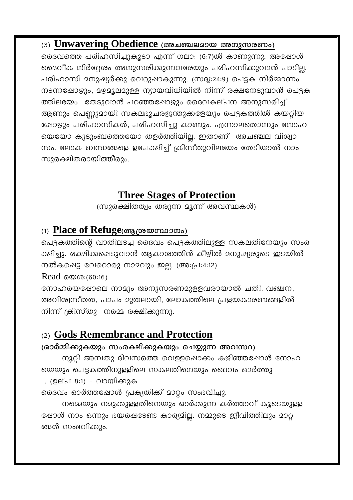#### (3) Unwavering Obedience (അചഞ്ചലമായ അനുസരണം)

ദൈവത്തെ പരിഹസിച്ചുകൂടാ എന്ന് ഗലാ: (6:7)ൽ കാണുന്നു. അഷോൾ ദൈവീക നിർദ്ദേശം അനുസരിക്കുന്നവരേയും പരിഹസിക്കുവാൻ പാടില്ല. പരിഹാസി മനുഷ്യർക്കു വെറുഷാകുന്നു. (സദൃ:24:9) പെട്ടക നിർമ്മാണം നടന്നഷോഴും, മഴമൂലമുള്ള ന്യായവിധിയിൽ നിന്ന് രക്ഷനേടുവാൻ പെട്ടക ത്തിലഭയം തേടുവാൻ പറഞ്ഞപ്പോഴും ദൈവകല്പന അനുസരിച്ച് ആണും പെണ്ണുമായി സകലഭൂചരജന്തുക്കളേയും പെട്ടകത്തിൽ കയറ്റിയ ഷോഴും പരിഹാസികൾ, പരിഹസിച്ചു കാണും. എന്നാലതൊന്നും നോഹ യെയോ കുടുംബത്തെയോ തളർത്തിയില്ല. ഇതാണ് അചഞ്ചല വിശ്വാ സം. ലോക ബന്ധങ്ങളെ ഉപേക്ഷിച്ച് ക്രിസ്തുവിലഭയം തേടിയാൽ നാം സുരക്ഷിതരായിത്തീരും.

## **Three Stages of Protection**

(സുരക്ഷിതത്വം തരുന്ന മൂന്ന് അവസ്ഥകൾ)

#### (1) Place of Refuge(ആശ്രയസ്ഥാനം)

പെട്ടകത്തിന്റെ വാതിലടച്ച ദൈവം പെട്ടകത്തിലുള്ള സകലതിനേയും സംര ക്ഷിച്ചു. രക്ഷിക്കപ്പെടുവാൻ ആകാശത്തിൻ കീഴിൽ മനുഷ്യരുടെ ഇടയിൽ നൽകപ്പെട്ട വേറൊരു നാമവും ഇല്ല. (അ:പ്ര:4:12)

Read  $\omega_0$ : (60:16)

നോഹയെഷോലെ നാമും അനുസരണമുളളവരായാൽ ചതി, വഞ്ചന, അവിശ്വസ്തത, പാപം മുതലായി, ലോകത്തിലെ പ്രളയകാരണങ്ങളിൽ നിന്ന് ക്രിസ്തു നമ്മെ രക്ഷിക്കുന്നു.

#### (2) Gods Remembrance and Protection

#### (ഓർമ്മിക്കുകയും സംരക്ഷിക്കുകയും ചെയ്യുന്ന അവസ്ഥ)

നൂറ്റി അമ്പതു ദിവസത്തെ വെള്ളപ്പൊക്കം കഴിഞ്ഞപ്പോൾ നോഹ യെയും പെട്ടകത്തിനുള്ളിലെ സകലതിനെയും ദൈവം ഓർത്തു . (ഉല്പ 8:1) - വായിക്കുക

ദൈവം ഓർത്തപ്പോൾ പ്രകൃതിക്ക് മാറ്റം സംഭവിച്ചു.

നമ്മെയും നമുക്കുള്ളതിനെയും ഓർക്കുന്ന കർത്താവ് കൂടെയുള്ള ഷോൾ നാം ഒന്നും ഭയപ്പെടേണ്ട കാര്യമില്ല. നമ്മുടെ ജീവിത്തിലും മാറ്റ ങ്ങൾ സംഭവിക്കും.